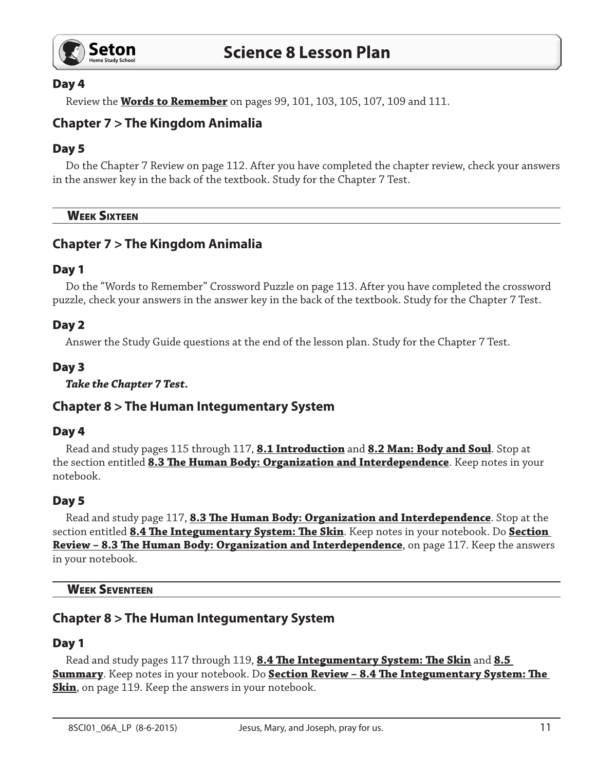

## Day 4

Review the **Words to Remember** on pages 99, 101, 103, 105, 107, 109 and 111.

# **Chapter 7 > The Kingdom Animalia**

## Day 5

Do the Chapter 7 Review on page 112. After you have completed the chapter review, check your answers in the answer key in the back of the textbook. Study for the Chapter 7 Test.

**WEEK SIXTEEN** 

# **Chapter 7 > The Kingdom Animalia**

#### Day 1

Do the "Words to Remember" Crossword Puzzle on page 113. After you have completed the crossword puzzle, check your answers in the answer key in the back of the textbook. Study for the Chapter 7 Test.

#### Day 2

Answer the Study Guide questions at the end of the lesson plan. Study for the Chapter 7 Test.

#### Day 3

*Take the Chapter 7 Test.*

## **Chapter 8 > The Human Integumentary System**

#### Day 4

Read and study pages 115 through 117, **8.1 Introduction** and **8.2 Man: Body and Soul**. Stop at the section entitled **8.3 The Human Body: Organization and Interdependence**. Keep notes in your notebook.

## Day 5

Read and study page 117, **8.3 The Human Body: Organization and Interdependence**. Stop at the section entitled **8.4 The Integumentary System: The Skin**. Keep notes in your notebook. Do **Section Review – 8.3 The Human Body: Organization and Interdependence**, on page 117. Keep the answers in your notebook.

Week Seventeen

## **Chapter 8 > The Human Integumentary System**

## Day 1

Read and study pages 117 through 119, **8.4 The Integumentary System: The Skin** and **8.5 Summary**. Keep notes in your notebook. Do **Section Review – 8.4 The Integumentary System: The Skin**, on page 119. Keep the answers in your notebook.